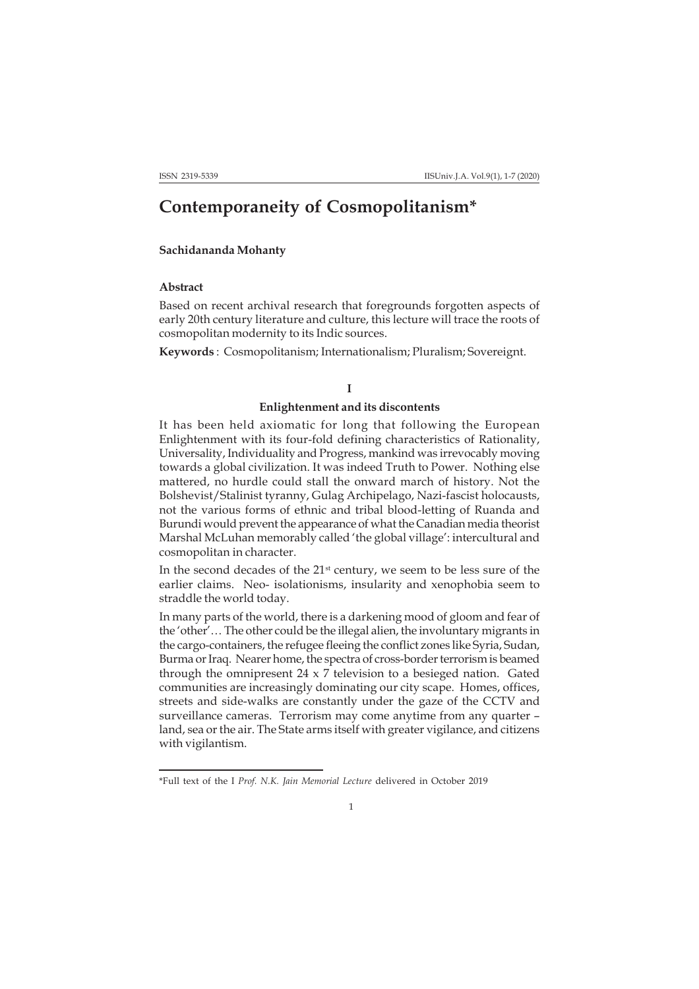# **Contemporaneity of Cosmopolitanism\***

## **Sachidananda Mohanty**

## **Abstract**

Based on recent archival research that foregrounds forgotten aspects of early 20th century literature and culture, this lecture will trace the roots of cosmopolitan modernity to its Indic sources.

**Keywords** : Cosmopolitanism; Internationalism; Pluralism; Sovereignt.

#### **I**

## **Enlightenment and its discontents**

It has been held axiomatic for long that following the European Enlightenment with its four-fold defining characteristics of Rationality, Universality, Individuality and Progress, mankind was irrevocably moving towards a global civilization. It was indeed Truth to Power. Nothing else mattered, no hurdle could stall the onward march of history. Not the Bolshevist/Stalinist tyranny, Gulag Archipelago, Nazi-fascist holocausts, not the various forms of ethnic and tribal blood-letting of Ruanda and Burundi would prevent the appearance of what the Canadian media theorist Marshal McLuhan memorably called 'the global village': intercultural and cosmopolitan in character.

In the second decades of the 21<sup>st</sup> century, we seem to be less sure of the earlier claims. Neo- isolationisms, insularity and xenophobia seem to straddle the world today.

In many parts of the world, there is a darkening mood of gloom and fear of the 'other'… The other could be the illegal alien, the involuntary migrants in the cargo-containers, the refugee fleeing the conflict zones like Syria, Sudan, Burma or Iraq. Nearer home, the spectra of cross-border terrorism is beamed through the omnipresent 24 x 7 television to a besieged nation. Gated communities are increasingly dominating our city scape. Homes, offices, streets and side-walks are constantly under the gaze of the CCTV and surveillance cameras. Terrorism may come anytime from any quarter – land, sea or the air. The State arms itself with greater vigilance, and citizens with vigilantism.

<sup>\*</sup>Full text of the I *Prof. N.K. Jain Memorial Lecture* delivered in October 2019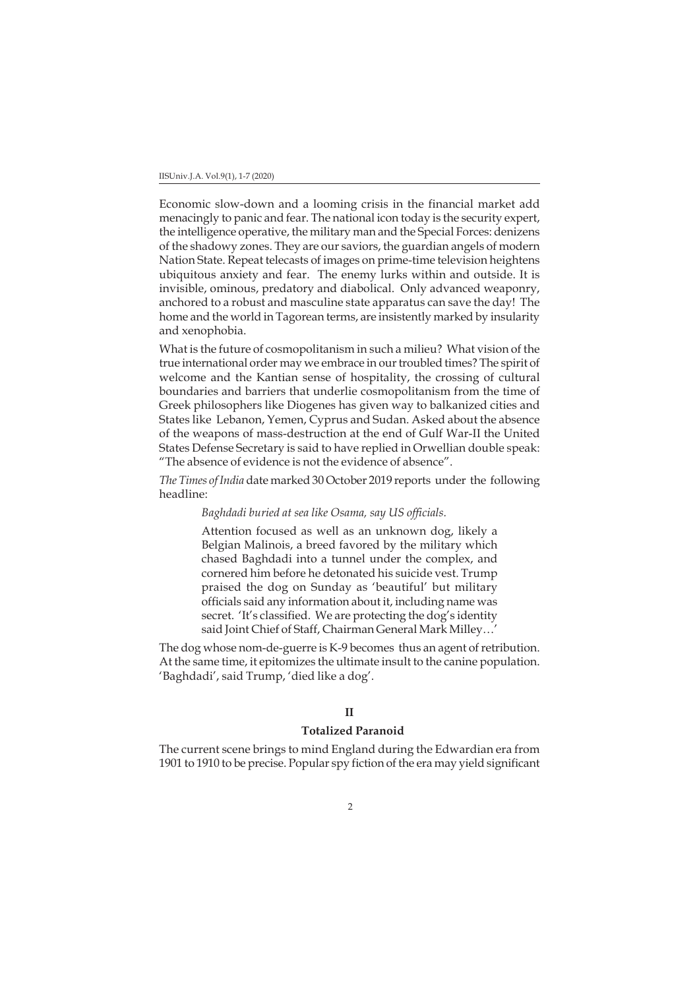Economic slow-down and a looming crisis in the financial market add menacingly to panic and fear. The national icon today is the security expert, the intelligence operative, the military man and the Special Forces: denizens of the shadowy zones. They are our saviors, the guardian angels of modern Nation State. Repeat telecasts of images on prime-time television heightens ubiquitous anxiety and fear. The enemy lurks within and outside. It is invisible, ominous, predatory and diabolical. Only advanced weaponry, anchored to a robust and masculine state apparatus can save the day! The home and the world in Tagorean terms, are insistently marked by insularity and xenophobia.

What is the future of cosmopolitanism in such a milieu? What vision of the true international order may we embrace in our troubled times? The spirit of welcome and the Kantian sense of hospitality, the crossing of cultural boundaries and barriers that underlie cosmopolitanism from the time of Greek philosophers like Diogenes has given way to balkanized cities and States like Lebanon, Yemen, Cyprus and Sudan. Asked about the absence of the weapons of mass-destruction at the end of Gulf War-II the United States Defense Secretary is said to have replied in Orwellian double speak: "The absence of evidence is not the evidence of absence".

*The Times of India* date marked 30 October 2019 reports under the following headline:

## *Baghdadi buried at sea like Osama, say US officials.*

Attention focused as well as an unknown dog, likely a Belgian Malinois, a breed favored by the military which chased Baghdadi into a tunnel under the complex, and cornered him before he detonated his suicide vest. Trump praised the dog on Sunday as 'beautiful' but military officials said any information about it, including name was secret. 'It's classified. We are protecting the dog's identity said Joint Chief of Staff, Chairman General Mark Milley…'

The dog whose nom-de-guerre is K-9 becomes thus an agent of retribution. At the same time, it epitomizes the ultimate insult to the canine population. 'Baghdadi', said Trump, 'died like a dog'.

## **II**

## **Totalized Paranoid**

The current scene brings to mind England during the Edwardian era from 1901 to 1910 to be precise. Popular spy fiction of the era may yield significant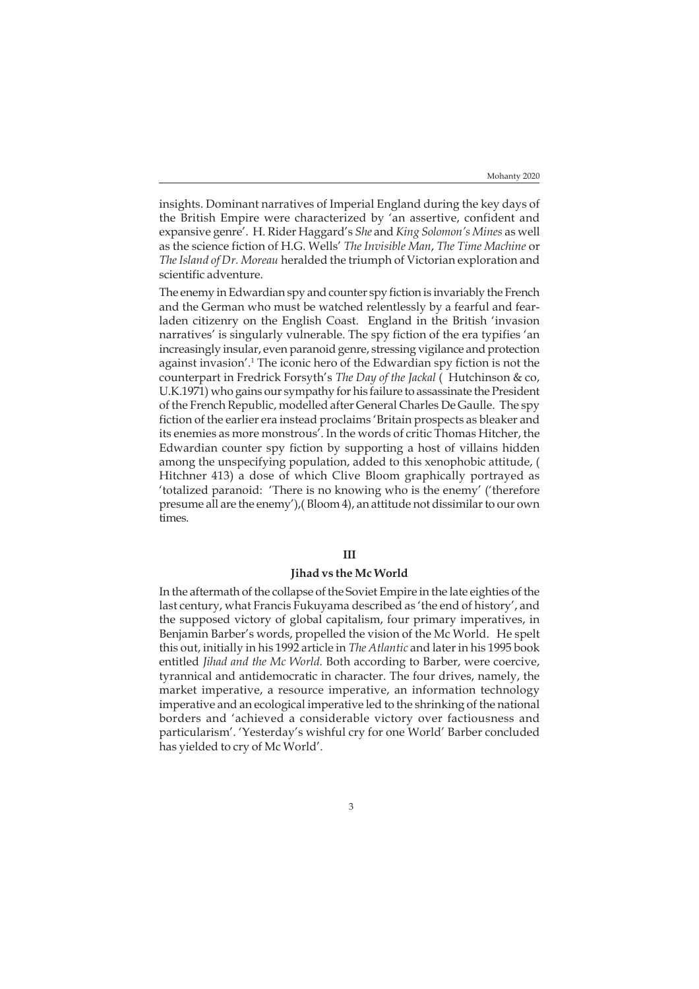insights. Dominant narratives of Imperial England during the key days of the British Empire were characterized by 'an assertive, confident and expansive genre'. H. Rider Haggard's *She* and *King Solomon's Mines* as well as the science fiction of H.G. Wells' *The Invisible Man*, *The Time Machine* or *The Island of Dr. Moreau* heralded the triumph of Victorian exploration and scientific adventure.

The enemy in Edwardian spy and counter spy fiction is invariably the French and the German who must be watched relentlessly by a fearful and fearladen citizenry on the English Coast. England in the British 'invasion narratives' is singularly vulnerable. The spy fiction of the era typifies 'an increasingly insular, even paranoid genre, stressing vigilance and protection against invasion'.<sup>1</sup> The iconic hero of the Edwardian spy fiction is not the counterpart in Fredrick Forsyth's *The Day of the Jackal* ( Hutchinson & co, U.K.1971) who gains our sympathy for his failure to assassinate the President of the French Republic, modelled after General Charles De Gaulle. The spy fiction of the earlier era instead proclaims 'Britain prospects as bleaker and its enemies as more monstrous'. In the words of critic Thomas Hitcher, the Edwardian counter spy fiction by supporting a host of villains hidden among the unspecifying population, added to this xenophobic attitude, ( Hitchner 413) a dose of which Clive Bloom graphically portrayed as 'totalized paranoid: 'There is no knowing who is the enemy' ('therefore presume all are the enemy'),( Bloom 4), an attitude not dissimilar to our own times.

## **III**

#### **Jihad vs the Mc World**

In the aftermath of the collapse of the Soviet Empire in the late eighties of the last century, what Francis Fukuyama described as 'the end of history', and the supposed victory of global capitalism, four primary imperatives, in Benjamin Barber's words, propelled the vision of the Mc World. He spelt this out, initially in his 1992 article in *The Atlantic* and later in his 1995 book entitled *Jihad and the Mc World.* Both according to Barber, were coercive, tyrannical and antidemocratic in character. The four drives, namely, the market imperative, a resource imperative, an information technology imperative and an ecological imperative led to the shrinking of the national borders and 'achieved a considerable victory over factiousness and particularism'. 'Yesterday's wishful cry for one World' Barber concluded has yielded to cry of Mc World'.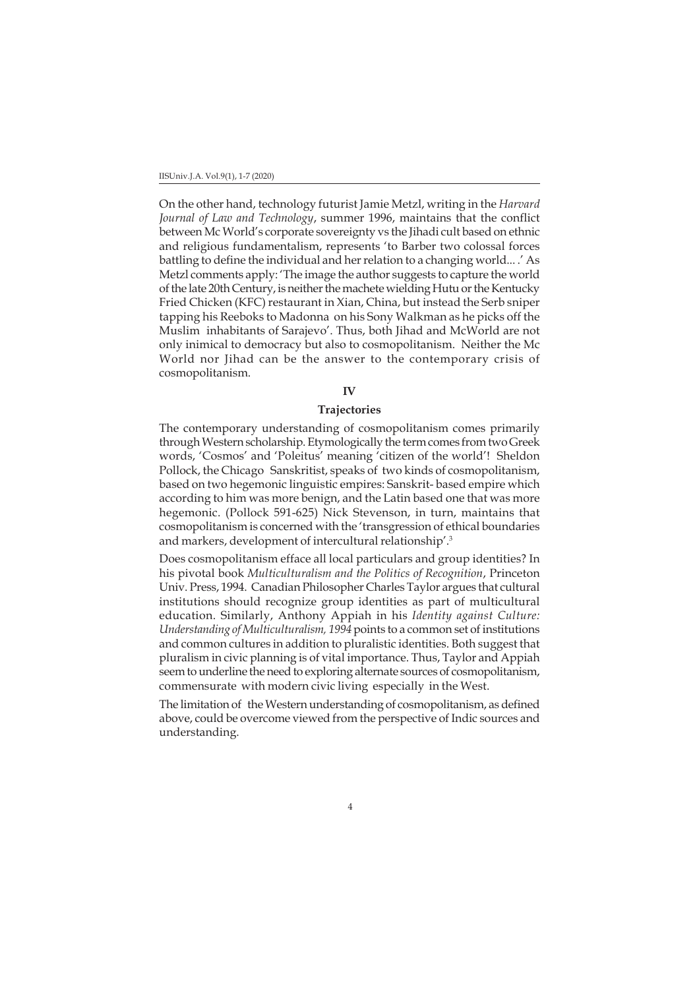On the other hand, technology futurist Jamie Metzl, writing in the *Harvard Journal of Law and Technology*, summer 1996, maintains that the conflict between Mc World's corporate sovereignty vs the Jihadi cult based on ethnic and religious fundamentalism, represents 'to Barber two colossal forces battling to define the individual and her relation to a changing world... .' As Metzl comments apply: 'The image the author suggests to capture the world of the late 20th Century, is neither the machete wielding Hutu or the Kentucky Fried Chicken (KFC) restaurant in Xian, China, but instead the Serb sniper tapping his Reeboks to Madonna on his Sony Walkman as he picks off the Muslim inhabitants of Sarajevo'. Thus, both Jihad and McWorld are not only inimical to democracy but also to cosmopolitanism. Neither the Mc World nor Jihad can be the answer to the contemporary crisis of cosmopolitanism.

#### **IV**

## **Trajectories**

The contemporary understanding of cosmopolitanism comes primarily through Western scholarship. Etymologically the term comes from two Greek words, 'Cosmos' and 'Poleitus' meaning 'citizen of the world'! Sheldon Pollock, the Chicago Sanskritist, speaks of two kinds of cosmopolitanism, based on two hegemonic linguistic empires: Sanskrit- based empire which according to him was more benign, and the Latin based one that was more hegemonic. (Pollock 591-625) Nick Stevenson, in turn, maintains that cosmopolitanism is concerned with the 'transgression of ethical boundaries and markers, development of intercultural relationship'.3

Does cosmopolitanism efface all local particulars and group identities? In his pivotal book *Multiculturalism and the Politics of Recognition*, Princeton Univ. Press, 1994. Canadian Philosopher Charles Taylor argues that cultural institutions should recognize group identities as part of multicultural education. Similarly, Anthony Appiah in his *Identity against Culture: Understanding of Multiculturalism, 1994* points to a common set of institutions and common cultures in addition to pluralistic identities. Both suggest that pluralism in civic planning is of vital importance. Thus, Taylor and Appiah seem to underline the need to exploring alternate sources of cosmopolitanism, commensurate with modern civic living especially in the West.

The limitation of the Western understanding of cosmopolitanism, as defined above, could be overcome viewed from the perspective of Indic sources and understanding.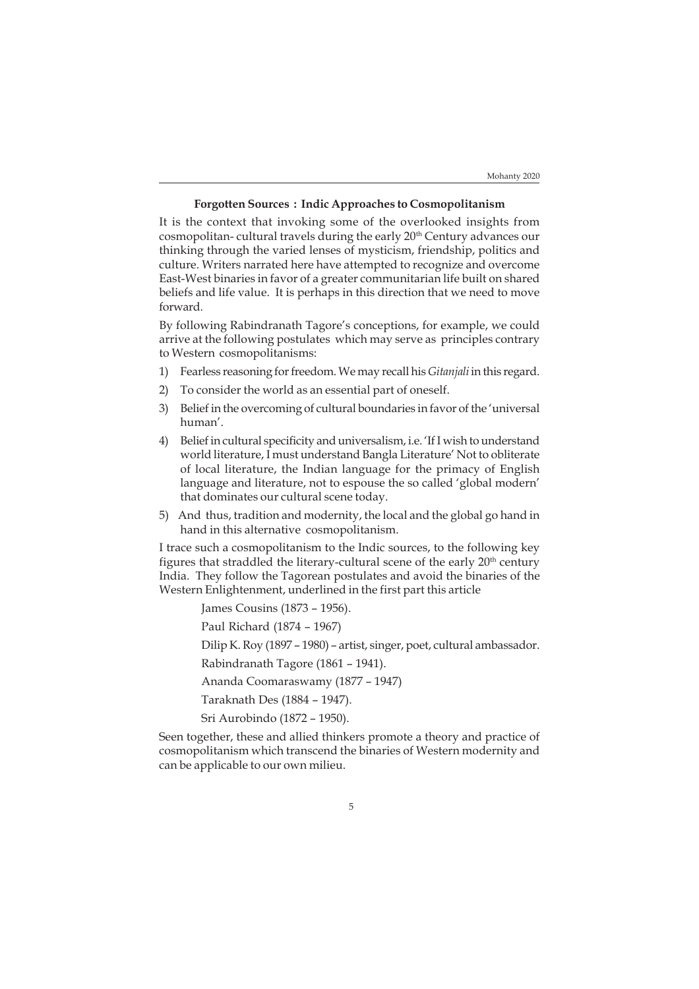#### **Forgotten Sources : Indic Approaches to Cosmopolitanism**

It is the context that invoking some of the overlooked insights from cosmopolitan- cultural travels during the early 20th Century advances our thinking through the varied lenses of mysticism, friendship, politics and culture. Writers narrated here have attempted to recognize and overcome East-West binaries in favor of a greater communitarian life built on shared beliefs and life value. It is perhaps in this direction that we need to move forward.

By following Rabindranath Tagore's conceptions, for example, we could arrive at the following postulates which may serve as principles contrary to Western cosmopolitanisms:

- 1) Fearless reasoning for freedom. We may recall his *Gitanjali* in this regard.
- 2) To consider the world as an essential part of oneself.
- 3) Belief in the overcoming of cultural boundaries in favor of the 'universal human'.
- 4) Belief in cultural specificity and universalism, i.e. 'If I wish to understand world literature, I must understand Bangla Literature' Not to obliterate of local literature, the Indian language for the primacy of English language and literature, not to espouse the so called 'global modern' that dominates our cultural scene today.
- 5) And thus, tradition and modernity, the local and the global go hand in hand in this alternative cosmopolitanism.

I trace such a cosmopolitanism to the Indic sources, to the following key figures that straddled the literary-cultural scene of the early 20<sup>th</sup> century India. They follow the Tagorean postulates and avoid the binaries of the Western Enlightenment, underlined in the first part this article

James Cousins (1873 – 1956).

Paul Richard (1874 – 1967)

Dilip K. Roy (1897 – 1980) – artist, singer, poet, cultural ambassador.

Rabindranath Tagore (1861 – 1941).

Ananda Coomaraswamy (1877 – 1947)

Taraknath Des (1884 – 1947).

Sri Aurobindo (1872 – 1950).

Seen together, these and allied thinkers promote a theory and practice of cosmopolitanism which transcend the binaries of Western modernity and can be applicable to our own milieu.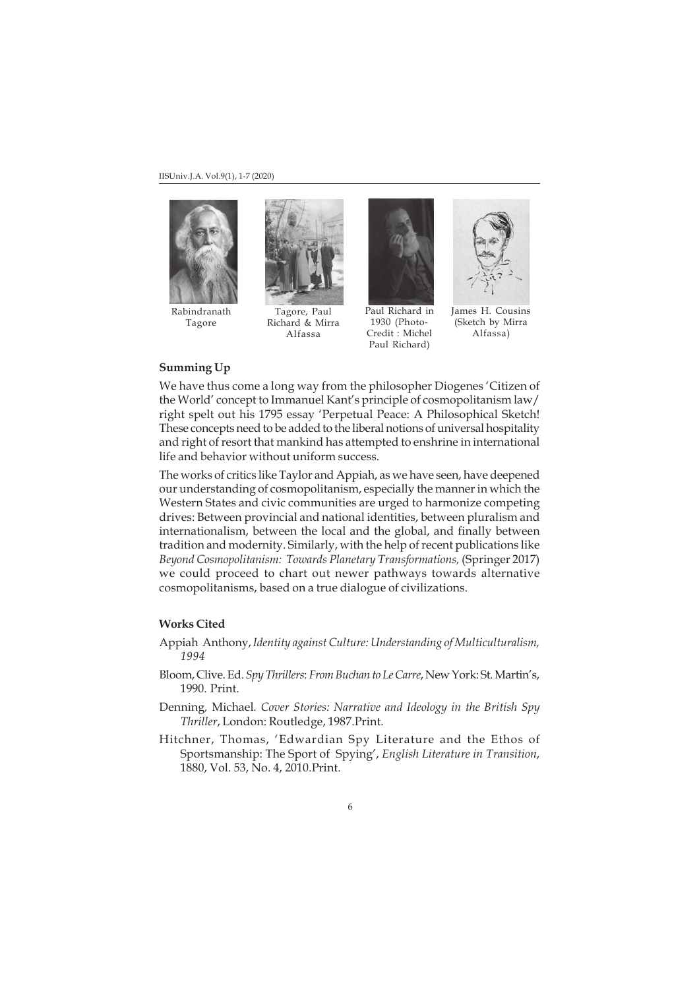

Rabindranath Tagore



Tagore, Paul Richard & Mirra Alfassa



1930 (Photo-Credit : Michel Paul Richard)



James H. Cousins (Sketch by Mirra Alfassa)

## **Summing Up**

We have thus come a long way from the philosopher Diogenes 'Citizen of the World' concept to Immanuel Kant's principle of cosmopolitanism law/ right spelt out his 1795 essay 'Perpetual Peace: A Philosophical Sketch! These concepts need to be added to the liberal notions of universal hospitality and right of resort that mankind has attempted to enshrine in international life and behavior without uniform success.

The works of critics like Taylor and Appiah, as we have seen, have deepened our understanding of cosmopolitanism, especially the manner in which the Western States and civic communities are urged to harmonize competing drives: Between provincial and national identities, between pluralism and internationalism, between the local and the global, and finally between tradition and modernity. Similarly, with the help of recent publications like *Beyond Cosmopolitanism: Towards Planetary Transformations,* (Springer 2017) we could proceed to chart out newer pathways towards alternative cosmopolitanisms, based on a true dialogue of civilizations.

## **Works Cited**

- Appiah Anthony, *Identity against Culture: Understanding of Multiculturalism, 1994*
- Bloom, Clive. Ed. *Spy Thrillers*: *From Buchan to Le Carre*, New York: St. Martin's, 1990. Print.
- Denning*,* Michael*. Cover Stories: Narrative and Ideology in the British Spy Thriller*, London: Routledge, 1987.Print.
- Hitchner, Thomas, 'Edwardian Spy Literature and the Ethos of Sportsmanship: The Sport of Spying', *English Literature in Transition*, 1880, Vol. 53, No. 4, 2010.Print.